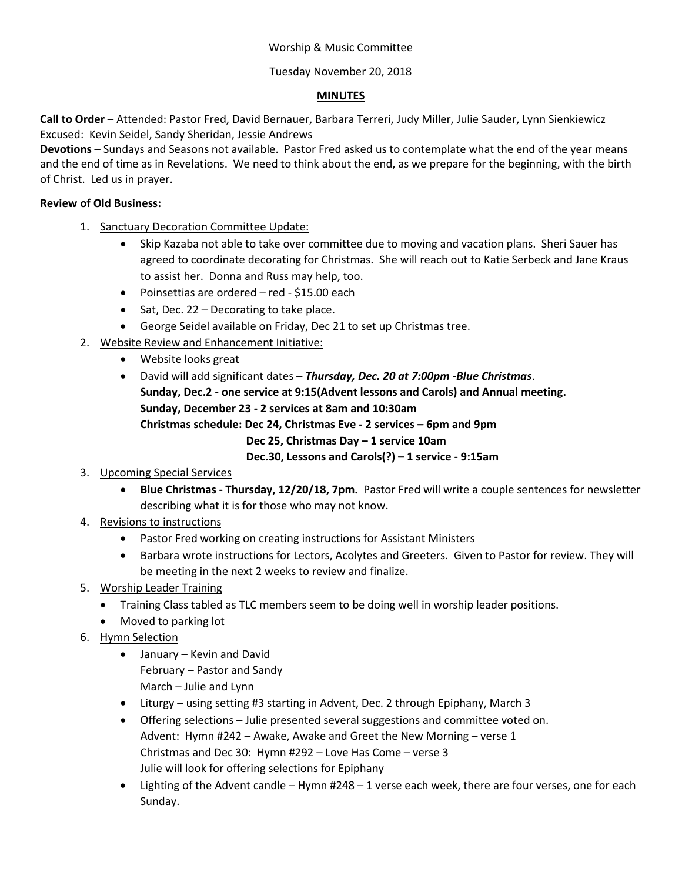# Worship & Music Committee

# Tuesday November 20, 2018

# **MINUTES**

**Call to Order** – Attended: Pastor Fred, David Bernauer, Barbara Terreri, Judy Miller, Julie Sauder, Lynn Sienkiewicz Excused: Kevin Seidel, Sandy Sheridan, Jessie Andrews

**Devotions** – Sundays and Seasons not available. Pastor Fred asked us to contemplate what the end of the year means and the end of time as in Revelations. We need to think about the end, as we prepare for the beginning, with the birth of Christ. Led us in prayer.

#### **Review of Old Business:**

- 1. Sanctuary Decoration Committee Update:
	- Skip Kazaba not able to take over committee due to moving and vacation plans. Sheri Sauer has agreed to coordinate decorating for Christmas. She will reach out to Katie Serbeck and Jane Kraus to assist her. Donna and Russ may help, too.
	- Poinsettias are ordered red \$15.00 each
	- Sat, Dec. 22 Decorating to take place.
	- George Seidel available on Friday, Dec 21 to set up Christmas tree.
- 2. Website Review and Enhancement Initiative:
	- Website looks great
	- David will add significant dates *Thursday, Dec. 20 at 7:00pm -Blue Christmas*. **Sunday, Dec.2 - one service at 9:15(Advent lessons and Carols) and Annual meeting. Sunday, December 23 - 2 services at 8am and 10:30am Christmas schedule: Dec 24, Christmas Eve - 2 services – 6pm and 9pm Dec 25, Christmas Day – 1 service 10am**

**Dec.30, Lessons and Carols(?) – 1 service - 9:15am**

# 3. Upcoming Special Services

- **Blue Christmas - Thursday, 12/20/18, 7pm.** Pastor Fred will write a couple sentences for newsletter describing what it is for those who may not know.
- 4. Revisions to instructions
	- Pastor Fred working on creating instructions for Assistant Ministers
	- Barbara wrote instructions for Lectors, Acolytes and Greeters. Given to Pastor for review. They will be meeting in the next 2 weeks to review and finalize.
- 5. Worship Leader Training
	- Training Class tabled as TLC members seem to be doing well in worship leader positions.
	- Moved to parking lot
- 6. Hymn Selection
	- January Kevin and David February – Pastor and Sandy
		- March Julie and Lynn
	- Liturgy using setting #3 starting in Advent, Dec. 2 through Epiphany, March 3
	- Offering selections Julie presented several suggestions and committee voted on. Advent: Hymn #242 – Awake, Awake and Greet the New Morning – verse 1 Christmas and Dec 30: Hymn #292 – Love Has Come – verse 3 Julie will look for offering selections for Epiphany
	- Lighting of the Advent candle Hymn #248 1 verse each week, there are four verses, one for each Sunday.